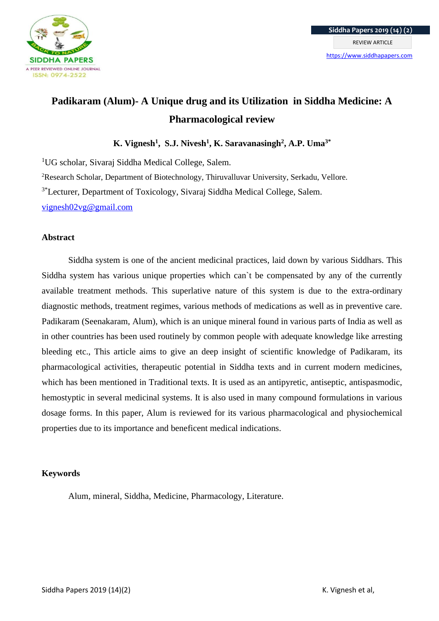

# **Padikaram (Alum)- A Unique drug and its Utilization in Siddha Medicine: A Pharmacological review**

**K. Vignesh<sup>1</sup> , S.J. Nivesh<sup>1</sup> , K. Saravanasingh<sup>2</sup> , A.P. Uma3\***

<sup>1</sup>UG scholar, Sivaraj Siddha Medical College, Salem.

<sup>2</sup>Research Scholar, Department of Biotechnology, Thiruvalluvar University, Serkadu, Vellore.

3\*Lecturer, Department of Toxicology, Sivaraj Siddha Medical College, Salem.

[vignesh02vg@gmail.com](mailto:vignesh02vg@gmail.com)

### **Abstract**

Siddha system is one of the ancient medicinal practices, laid down by various Siddhars. This Siddha system has various unique properties which can`t be compensated by any of the currently available treatment methods. This superlative nature of this system is due to the extra-ordinary diagnostic methods, treatment regimes, various methods of medications as well as in preventive care. Padikaram (Seenakaram, Alum), which is an unique mineral found in various parts of India as well as in other countries has been used routinely by common people with adequate knowledge like arresting bleeding etc., This article aims to give an deep insight of scientific knowledge of Padikaram, its pharmacological activities, therapeutic potential in Siddha texts and in current modern medicines, which has been mentioned in Traditional texts. It is used as an antipyretic, antiseptic, antispasmodic, hemostyptic in several medicinal systems. It is also used in many compound formulations in various dosage forms. In this paper, Alum is reviewed for its various pharmacological and physiochemical properties due to its importance and beneficent medical indications.

# **Keywords**

Alum, mineral, Siddha, Medicine, Pharmacology, Literature.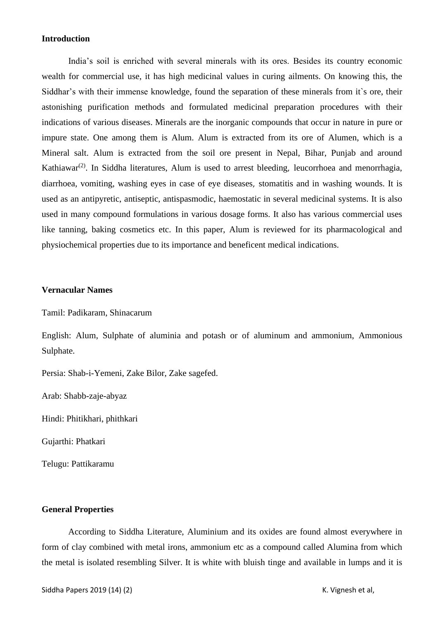#### **Introduction**

India's soil is enriched with several minerals with its ores. Besides its country economic wealth for commercial use, it has high medicinal values in curing ailments. On knowing this, the Siddhar's with their immense knowledge, found the separation of these minerals from it`s ore, their astonishing purification methods and formulated medicinal preparation procedures with their indications of various diseases. Minerals are the inorganic compounds that occur in nature in pure or impure state. One among them is Alum. Alum is extracted from its ore of Alumen, which is a Mineral salt. Alum is extracted from the soil ore present in Nepal, Bihar, Punjab and around Kathiawar<sup>(2)</sup>. In Siddha literatures, Alum is used to arrest bleeding, leucorrhoea and menorrhagia, diarrhoea, vomiting, washing eyes in case of eye diseases, stomatitis and in washing wounds. It is used as an antipyretic, antiseptic, antispasmodic, haemostatic in several medicinal systems. It is also used in many compound formulations in various dosage forms. It also has various commercial uses like tanning, baking cosmetics etc. In this paper, Alum is reviewed for its pharmacological and physiochemical properties due to its importance and beneficent medical indications.

#### **Vernacular Names**

Tamil: Padikaram, Shinacarum

English: Alum, Sulphate of aluminia and potash or of aluminum and ammonium, Ammonious Sulphate.

Persia: Shab-i-Yemeni, Zake Bilor, Zake sagefed.

Arab: Shabb-zaje-abyaz

Hindi: Phitikhari, phithkari

Gujarthi: Phatkari

Telugu: Pattikaramu

#### **General Properties**

According to Siddha Literature, Aluminium and its oxides are found almost everywhere in form of clay combined with metal irons, ammonium etc as a compound called Alumina from which the metal is isolated resembling Silver. It is white with bluish tinge and available in lumps and it is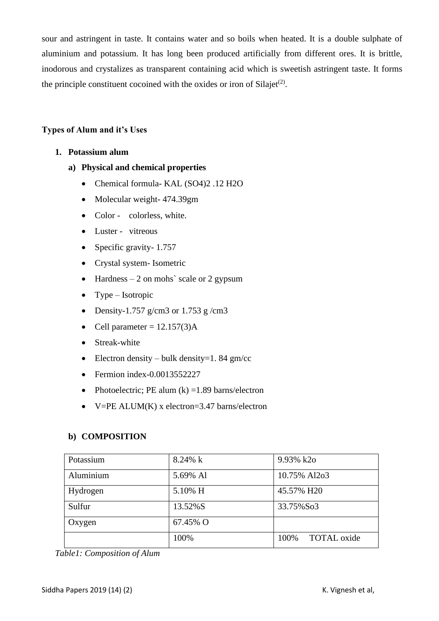sour and astringent in taste. It contains water and so boils when heated. It is a double sulphate of aluminium and potassium. It has long been produced artificially from different ores. It is brittle, inodorous and crystalizes as transparent containing acid which is sweetish astringent taste. It forms the principle constituent cocoined with the oxides or iron of Silajet<sup>(2)</sup>.

## **Types of Alum and it's Uses**

- **1. Potassium alum**
	- **a) Physical and chemical properties**
		- Chemical formula- KAL (SO4)2 .12 H2O
		- Molecular weight- 474.39gm
		- Color colorless, white.
		- Luster vitreous
		- Specific gravity-1.757
		- Crystal system- Isometric
		- Hardness  $-2$  on mohs' scale or 2 gypsum
		- Type Isotropic
		- Density-1.757 g/cm3 or 1.753 g/cm3
		- Cell parameter  $= 12.157(3)$ A
		- Streak-white
		- Electron density bulk density=1.84 gm/cc
		- Fermion index-0.0013552227
		- Photoelectric; PE alum  $(k) = 1.89$  barns/electron
		- V=PE ALUM $(K)$  x electron=3.47 barns/electron

# **b) COMPOSITION**

| Potassium | $8.24\% k$ | 9.93% k2o           |
|-----------|------------|---------------------|
| Aluminium | 5.69% Al   | 10.75% Al2o3        |
| Hydrogen  | 5.10% H    | 45.57% H20          |
| Sulfur    | 13.52%S    | 33.75%So3           |
| Oxygen    | 67.45% O   |                     |
|           | 100%       | TOTAL oxide<br>100% |

*Table1: Composition of Alum*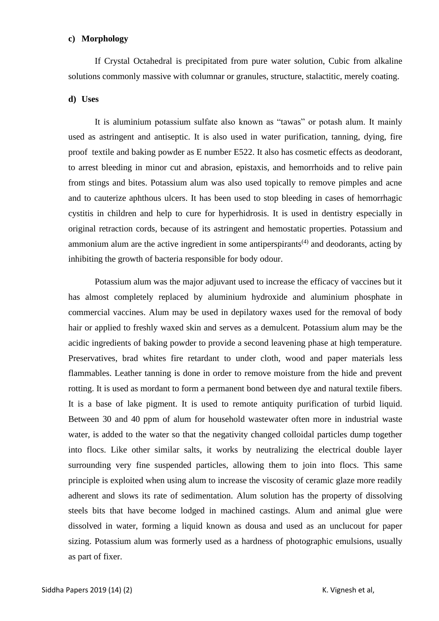#### **c) Morphology**

If Crystal Octahedral is precipitated from pure water solution, Cubic from alkaline solutions commonly massive with columnar or granules, structure, stalactitic, merely coating.

#### **d) Uses**

It is aluminium potassium sulfate also known as "tawas" or potash alum. It mainly used as astringent and antiseptic. It is also used in water purification, tanning, dying, fire proof textile and baking powder as E number E522. It also has cosmetic effects as deodorant, to arrest bleeding in minor cut and abrasion, epistaxis, and hemorrhoids and to relive pain from stings and bites. Potassium alum was also used topically to remove pimples and acne and to cauterize aphthous ulcers. It has been used to stop bleeding in cases of hemorrhagic cystitis in children and help to cure for hyperhidrosis. It is used in dentistry especially in original retraction cords, because of its astringent and hemostatic properties. Potassium and ammonium alum are the active ingredient in some antiperspirants<sup> $(4)$ </sup> and deodorants, acting by inhibiting the growth of bacteria responsible for body odour.

Potassium alum was the major adjuvant used to increase the efficacy of vaccines but it has almost completely replaced by aluminium hydroxide and aluminium phosphate in commercial vaccines. Alum may be used in depilatory waxes used for the removal of body hair or applied to freshly waxed skin and serves as a demulcent. Potassium alum may be the acidic ingredients of baking powder to provide a second leavening phase at high temperature. Preservatives, brad whites fire retardant to under cloth, wood and paper materials less flammables. Leather tanning is done in order to remove moisture from the hide and prevent rotting. It is used as mordant to form a permanent bond between dye and natural textile fibers. It is a base of lake pigment. It is used to remote antiquity purification of turbid liquid. Between 30 and 40 ppm of alum for household wastewater often more in industrial waste water, is added to the water so that the negativity changed colloidal particles dump together into flocs. Like other similar salts, it works by neutralizing the electrical double layer surrounding very fine suspended particles, allowing them to join into flocs. This same principle is exploited when using alum to increase the viscosity of ceramic glaze more readily adherent and slows its rate of sedimentation. Alum solution has the property of dissolving steels bits that have become lodged in machined castings. Alum and animal glue were dissolved in water, forming a liquid known as dousa and used as an unclucout for paper sizing. Potassium alum was formerly used as a hardness of photographic emulsions, usually as part of fixer.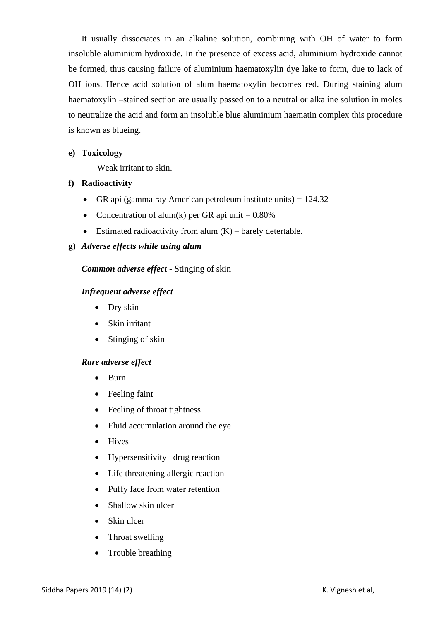It usually dissociates in an alkaline solution, combining with OH of water to form insoluble aluminium hydroxide. In the presence of excess acid, aluminium hydroxide cannot be formed, thus causing failure of aluminium haematoxylin dye lake to form, due to lack of OH ions. Hence acid solution of alum haematoxylin becomes red. During staining alum haematoxylin –stained section are usually passed on to a neutral or alkaline solution in moles to neutralize the acid and form an insoluble blue aluminium haematin complex this procedure is known as blueing.

## **e) Toxicology**

Weak irritant to skin.

# **f) Radioactivity**

- GR api (gamma ray American petroleum institute units)  $= 124.32$
- Concentration of alum(k) per GR api unit  $= 0.80\%$
- Estimated radioactivity from alum  $(K)$  barely detertable.

# **g)** *Adverse effects while using alum*

# *Common adverse effect -* Stinging of skin

## *Infrequent adverse effect*

- Dry skin
- Skin irritant
- Stinging of skin

### *Rare adverse effect*

- Burn
- Feeling faint
- Feeling of throat tightness
- Fluid accumulation around the eye
- Hives
- Hypersensitivity drug reaction
- Life threatening allergic reaction
- Puffy face from water retention
- Shallow skin ulcer
- Skin ulcer
- Throat swelling
- Trouble breathing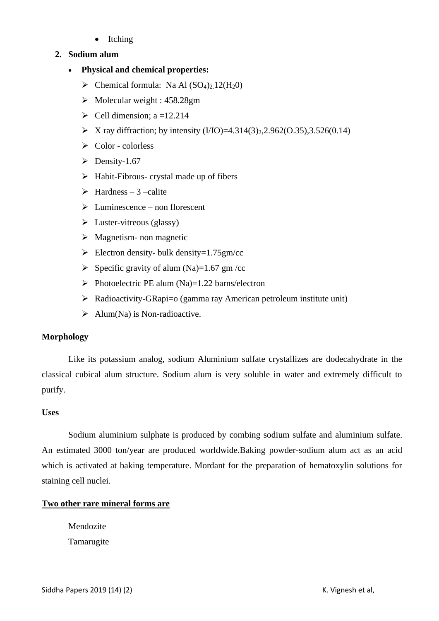• Itching

# **2. Sodium alum**

- **Physical and chemical properties:**
	- $\triangleright$  Chemical formula: Na Al (SO<sub>4</sub>)<sub>2</sub>.12(H<sub>2</sub>0)
	- ➢ Molecular weight : 458.28gm
	- $\triangleright$  Cell dimension; a =12.214
	- $\triangleright$  X ray diffraction; by intensity (I/IO)=4.314(3)<sub>2</sub>,2.962(O.35),3.526(0.14)
	- ➢ Color colorless
	- $\triangleright$  Density-1.67
	- $\triangleright$  Habit-Fibrous- crystal made up of fibers
	- $\triangleright$  Hardness 3 –calite
	- $\triangleright$  Luminescence non florescent
	- $\triangleright$  Luster-vitreous (glassy)
	- $\triangleright$  Magnetism- non magnetic
	- $\triangleright$  Electron density- bulk density=1.75gm/cc
	- $\triangleright$  Specific gravity of alum (Na)=1.67 gm /cc
	- $\triangleright$  Photoelectric PE alum (Na)=1.22 barns/electron
	- ➢ Radioactivity-GRapi=o (gamma ray American petroleum institute unit)
	- $\triangleright$  Alum(Na) is Non-radioactive.

# **Morphology**

Like its potassium analog, sodium Aluminium sulfate crystallizes are dodecahydrate in the classical cubical alum structure. Sodium alum is very soluble in water and extremely difficult to purify.

# **Uses**

Sodium aluminium sulphate is produced by combing sodium sulfate and aluminium sulfate. An estimated 3000 ton/year are produced worldwide.Baking powder-sodium alum act as an acid which is activated at baking temperature. Mordant for the preparation of hematoxylin solutions for staining cell nuclei.

# **Two other rare mineral forms are**

Mendozite Tamarugite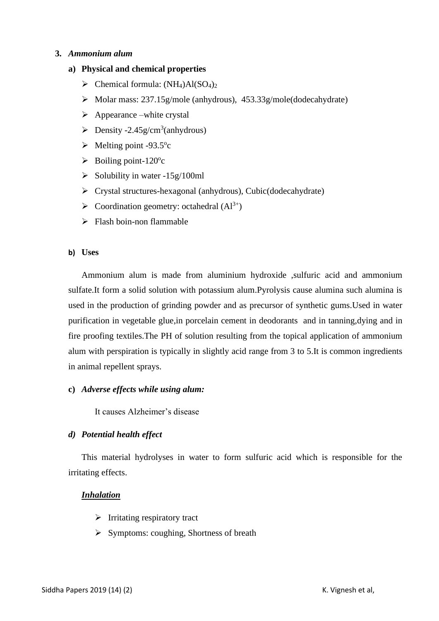## **3.** *Ammonium alum*

## **a) Physical and chemical properties**

- $\triangleright$  Chemical formula: (NH<sub>4</sub>)Al(SO<sub>4</sub>)<sub>2</sub>
- ➢ Molar mass: 237.15g/mole (anhydrous), 453.33g/mole(dodecahydrate)
- $\triangleright$  Appearance –white crystal
- $\triangleright$  Density -2.45g/cm<sup>3</sup>(anhydrous)
- $\blacktriangleright$  Melting point -93.5°c
- $\blacktriangleright$  Boiling point-120°c
- $\geq$  Solubility in water -15g/100ml
- ➢ Crystal structures-hexagonal (anhydrous), Cubic(dodecahydrate)
- $\triangleright$  Coordination geometry: octahedral  $(Al^{3+})$
- $\triangleright$  Flash boin-non flammable

### **b) Uses**

Ammonium alum is made from aluminium hydroxide ,sulfuric acid and ammonium sulfate.It form a solid solution with potassium alum.Pyrolysis cause alumina such alumina is used in the production of grinding powder and as precursor of synthetic gums.Used in water purification in vegetable glue,in porcelain cement in deodorants and in tanning,dying and in fire proofing textiles.The PH of solution resulting from the topical application of ammonium alum with perspiration is typically in slightly acid range from 3 to 5.It is common ingredients in animal repellent sprays.

### **c)** *Adverse effects while using alum:*

It causes Alzheimer's disease

### *d) Potential health effect*

This material hydrolyses in water to form sulfuric acid which is responsible for the irritating effects.

### *Inhalation*

- ➢ Irritating respiratory tract
- ➢ Symptoms: coughing, Shortness of breath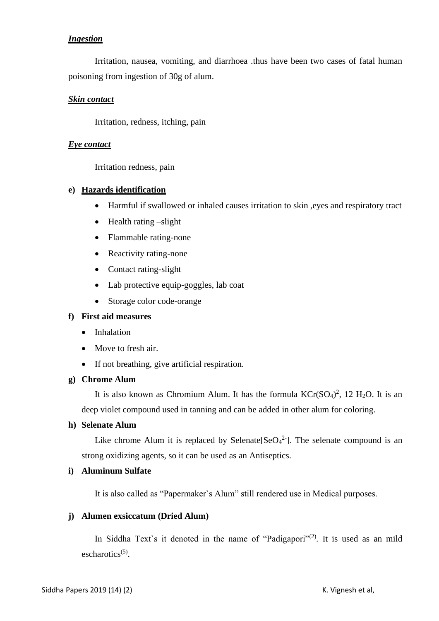## *Ingestion*

Irritation, nausea, vomiting, and diarrhoea .thus have been two cases of fatal human poisoning from ingestion of 30g of alum.

### *Skin contact*

Irritation, redness, itching, pain

## *Eye contact*

Irritation redness, pain

## **e) Hazards identification**

- Harmful if swallowed or inhaled causes irritation to skin, eyes and respiratory tract
- Health rating –slight
- Flammable rating-none
- Reactivity rating-none
- Contact rating-slight
- Lab protective equip-goggles, lab coat
- Storage color code-orange

### **f) First aid measures**

- Inhalation
- Move to fresh air.
- If not breathing, give artificial respiration.

### **g) Chrome Alum**

It is also known as Chromium Alum. It has the formula  $KCr(SO<sub>4</sub>)<sup>2</sup>$ , 12 H<sub>2</sub>O. It is an deep violet compound used in tanning and can be added in other alum for coloring.

# **h) Selenate Alum**

Like chrome Alum it is replaced by Selenate  $[SeO<sub>4</sub><sup>2</sup>$ . The selenate compound is an strong oxidizing agents, so it can be used as an Antiseptics.

### **i) Aluminum Sulfate**

It is also called as "Papermaker`s Alum" still rendered use in Medical purposes.

### **j) Alumen exsiccatum (Dried Alum)**

In Siddha Text's it denoted in the name of "Padigapori"<sup>(2)</sup>. It is used as an mild escharotics<sup>(5)</sup>.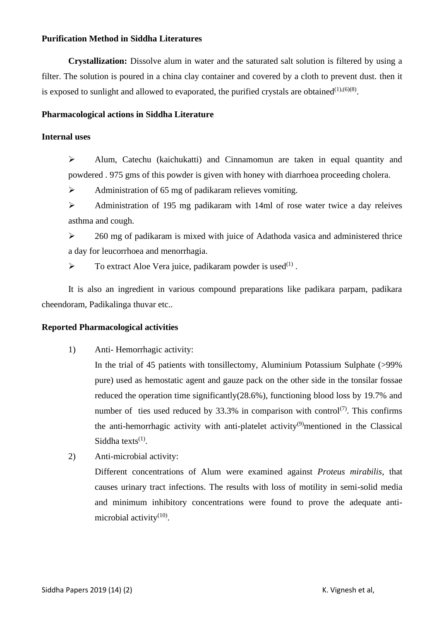### **Purification Method in Siddha Literatures**

**Crystallization:** Dissolve alum in water and the saturated salt solution is filtered by using a filter. The solution is poured in a china clay container and covered by a cloth to prevent dust. then it is exposed to sunlight and allowed to evaporated, the purified crystals are obtained  $(1),(6)(8)$ .

### **Pharmacological actions in Siddha Literature**

### **Internal uses**

 $\triangleright$  Alum, Catechu (kaichukatti) and Cinnamomun are taken in equal quantity and powdered . 975 gms of this powder is given with honey with diarrhoea proceeding cholera.

➢ Administration of 65 mg of padikaram relieves vomiting.

➢ Administration of 195 mg padikaram with 14ml of rose water twice a day releives asthma and cough.

➢ 260 mg of padikaram is mixed with juice of Adathoda vasica and administered thrice a day for leucorrhoea and menorrhagia.

 $\triangleright$  To extract Aloe Vera juice, padikaram powder is used<sup>(1)</sup>.

It is also an ingredient in various compound preparations like padikara parpam, padikara cheendoram, Padikalinga thuvar etc..

### **Reported Pharmacological activities**

1) Anti- Hemorrhagic activity:

In the trial of 45 patients with tonsillectomy, Aluminium Potassium Sulphate (>99% pure) used as hemostatic agent and gauze pack on the other side in the tonsilar fossae reduced the operation time significantly(28.6%), functioning blood loss by 19.7% and number of ties used reduced by 33.3% in comparison with control<sup>(7)</sup>. This confirms the anti-hemorrhagic activity with anti-platelet activity<sup>(9)</sup>mentioned in the Classical Siddha texts $<sup>(1)</sup>$ .</sup>

2) Anti-microbial activity:

Different concentrations of Alum were examined against *Proteus mirabilis*, that causes urinary tract infections. The results with loss of motility in semi-solid media and minimum inhibitory concentrations were found to prove the adequate antimicrobial activity<sup>(10)</sup>.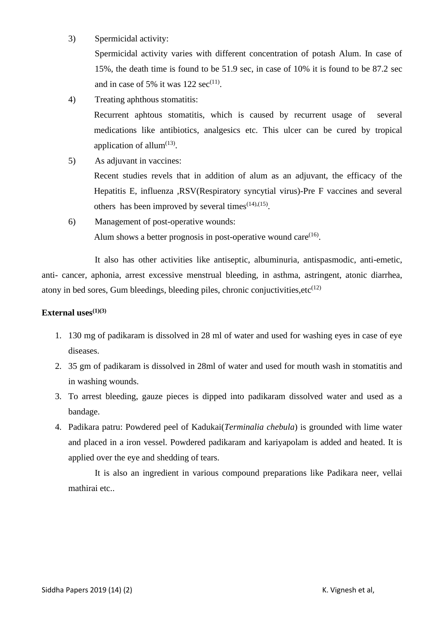3) Spermicidal activity:

Spermicidal activity varies with different concentration of potash Alum. In case of 15%, the death time is found to be 51.9 sec, in case of 10% it is found to be 87.2 sec and in case of 5% it was  $122 \text{ sec}^{(11)}$ .

4) Treating aphthous stomatitis:

Recurrent aphtous stomatitis, which is caused by recurrent usage of several medications like antibiotics, analgesics etc. This ulcer can be cured by tropical application of allum $^{(13)}$ .

5) As adjuvant in vaccines:

Recent studies revels that in addition of alum as an adjuvant, the efficacy of the Hepatitis E, influenza ,RSV(Respiratory syncytial virus)-Pre F vaccines and several others has been improved by several times $(14)$ , $(15)$ .

6) Management of post-operative wounds: Alum shows a better prognosis in post-operative wound care $^{(16)}$ .

It also has other activities like antiseptic, albuminuria, antispasmodic, anti-emetic, anti- cancer, aphonia, arrest excessive menstrual bleeding, in asthma, astringent, atonic diarrhea, atony in bed sores, Gum bleedings, bleeding piles, chronic conjuctivities,  $etc^{(12)}$ 

## **External uses(1)(3)**

- 1. 130 mg of padikaram is dissolved in 28 ml of water and used for washing eyes in case of eye diseases.
- 2. 35 gm of padikaram is dissolved in 28ml of water and used for mouth wash in stomatitis and in washing wounds.
- 3. To arrest bleeding, gauze pieces is dipped into padikaram dissolved water and used as a bandage.
- 4. Padikara patru: Powdered peel of Kadukai(*Terminalia chebula*) is grounded with lime water and placed in a iron vessel. Powdered padikaram and kariyapolam is added and heated. It is applied over the eye and shedding of tears.

It is also an ingredient in various compound preparations like Padikara neer, vellai mathirai etc..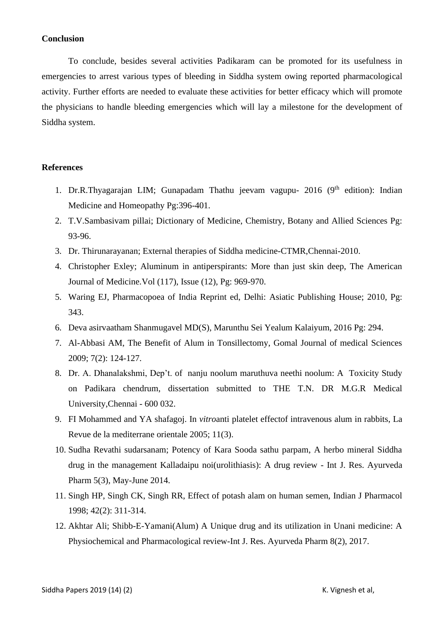#### **Conclusion**

To conclude, besides several activities Padikaram can be promoted for its usefulness in emergencies to arrest various types of bleeding in Siddha system owing reported pharmacological activity. Further efforts are needed to evaluate these activities for better efficacy which will promote the physicians to handle bleeding emergencies which will lay a milestone for the development of Siddha system.

#### **References**

- 1. Dr.R.Thyagarajan LIM; Gunapadam Thathu jeevam vagupu-  $2016$  (9<sup>th</sup> edition): Indian Medicine and Homeopathy Pg:396-401.
- 2. T.V.Sambasivam pillai; Dictionary of Medicine, Chemistry, Botany and Allied Sciences Pg: 93-96.
- 3. Dr. Thirunarayanan; External therapies of Siddha medicine-CTMR,Chennai-2010.
- 4. Christopher Exley; Aluminum in antiperspirants: More than just skin deep, The American Journal of Medicine.Vol (117), Issue (12), Pg: 969-970.
- 5. Waring EJ, Pharmacopoea of India Reprint ed, Delhi: Asiatic Publishing House; 2010, Pg: 343.
- 6. Deva asirvaatham Shanmugavel MD(S), Marunthu Sei Yealum Kalaiyum, 2016 Pg: 294.
- 7. Al-Abbasi AM, The Benefit of Alum in Tonsillectomy, Gomal Journal of medical Sciences 2009; 7(2): 124-127.
- 8. Dr. A. Dhanalakshmi, Dep't. of nanju noolum maruthuva neethi noolum: A Toxicity Study on Padikara chendrum, dissertation submitted to THE T.N. DR M.G.R Medical University,Chennai - 600 032.
- 9. FI Mohammed and YA shafagoj. In *vitro*anti platelet effectof intravenous alum in rabbits, La Revue de la mediterrane orientale 2005; 11(3).
- 10. Sudha Revathi sudarsanam; Potency of Kara Sooda sathu parpam, A herbo mineral Siddha drug in the management Kalladaipu noi(urolithiasis): A drug review - Int J. Res. Ayurveda Pharm 5(3), May-June 2014.
- 11. Singh HP, Singh CK, Singh RR, Effect of potash alam on human semen, Indian J Pharmacol 1998; 42(2): 311-314.
- 12. Akhtar Ali; Shibb-E-Yamani(Alum) A Unique drug and its utilization in Unani medicine: A Physiochemical and Pharmacological review-Int J. Res. Ayurveda Pharm 8(2), 2017.